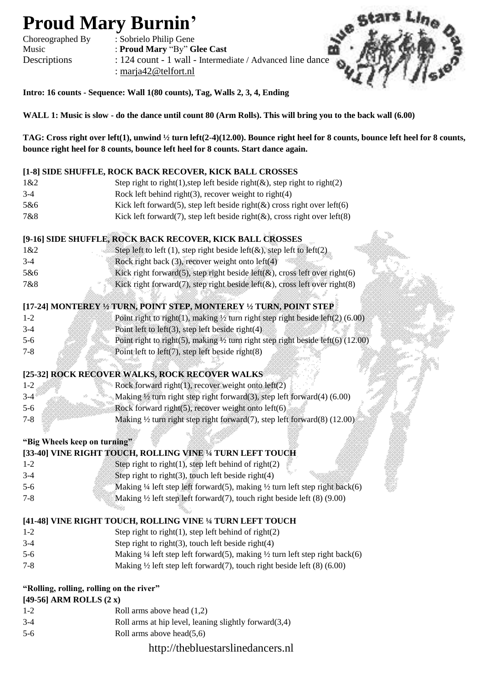# **Proud Mary Burnin'**

Choreographed By : Sobrielo Philip Gene Music : **Proud Mary** "By" **Glee Cast** Descriptions : 124 count - 1 wall - Intermediate / Advanced line dance : [marja42@telfort.nl](mailto:marja42@telfort.nl)



**Intro: 16 counts - Sequence: Wall 1(80 counts), Tag, Walls 2, 3, 4, Ending**

**WALL 1: Music is slow - do the dance until count 80 (Arm Rolls). This will bring you to the back wall (6.00)** 

**TAG: Cross right over left(1), unwind ½ turn left(2-4)(12.00). Bounce right heel for 8 counts, bounce left heel for 8 counts, bounce right heel for 8 counts, bounce left heel for 8 counts. Start dance again.**

#### **[1-8] SIDE SHUFFLE, ROCK BACK RECOVER, KICK BALL CROSSES**

| 1&2   | Step right to right(1), step left beside right( $\&$ ), step right to right(2) |
|-------|--------------------------------------------------------------------------------|
| $3-4$ | Rock left behind right(3), recover weight to right(4)                          |
| 5&6   | Kick left forward(5), step left beside right( $\&$ ) cross right over left(6)  |
| 7&8   | Kick left forward(7), step left beside right( $\&$ ), cross right over left(8) |

## **[9-16] SIDE SHUFFLE, ROCK BACK RECOVER, KICK BALL CROSSES**

| 1&2   | 883<br>Step left to left (1), step right beside left( $\&$ ), step left to left(2). |
|-------|-------------------------------------------------------------------------------------|
| $3-4$ | Rock right back (3), recover weight onto left(4)                                    |
| 5&6   | Kick right forward(5), step right beside left( $\&$ ), cross left over right(6)     |
| 7&8   | Kick right forward(7), step right beside left( $\&$ ), cross left over right(8)     |
|       |                                                                                     |

### **[17-24] MONTEREY ½ TURN, POINT STEP, MONTEREY ½ TURN, POINT STEP**

| $1 - 2$ | Point right to right(1), making $\frac{1}{2}$ turn right step right beside left(2) (6.00)  |  |
|---------|--------------------------------------------------------------------------------------------|--|
| $3-4$   | Point left to left $(3)$ , step left beside right $(4)$                                    |  |
| $5-6$   | Point right to right(5), making $\frac{1}{2}$ turn right step right beside left(6) (12.00) |  |
|         | Point left to left $(7)$ , step left beside right $(8)$                                    |  |

#### **[25-32] ROCK RECOVER WALKS, ROCK RECOVER WALKS**

|         | Rock forward right(1), recover weight onto $left(2)$                                            |
|---------|-------------------------------------------------------------------------------------------------|
|         | $\mathcal{M}$ aking $\frac{1}{2}$ turn right step right forward(3), step left forward(4) (6.00) |
| $5-6$   | Rock forward right $(5)$ , recover weight onto left $(6)$ .                                     |
| $7 - 8$ | Making $\frac{1}{2}$ turn right step right forward(7), step left forward(8) (12.00)             |
|         |                                                                                                 |

#### **"Big Wheels keep on turning"**

|         |  |  | [33-40] VINE RIGHT TOUCH, ROLLING VINE 1/4 TURN LEFT TOUCH                                        |  |
|---------|--|--|---------------------------------------------------------------------------------------------------|--|
| $1-2$   |  |  | Step right to right $(1)$ , step left behind of right $(2)$                                       |  |
| $3-4$   |  |  | Step right to right(3), touch left beside right(4)                                                |  |
| $5-6$   |  |  | Making $\frac{1}{4}$ left step left forward(5), making $\frac{1}{2}$ turn left step right back(6) |  |
| $7 - 8$ |  |  | Making $\frac{1}{2}$ left step left forward(7), touch right beside left (8) (9.00)                |  |
|         |  |  |                                                                                                   |  |

# **[41-48] VINE RIGHT TOUCH, ROLLING VINE ¼ TURN LEFT TOUCH**

- 1-2 Step right to right(1), step left behind of right(2)
- 3-4 Step right to right(3), touch left beside right(4)
- 5-6 Making ¼ left step left forward(5), making ½ turn left step right back(6)
- 7-8 Making ½ left step left forward(7), touch right beside left (8) (6.00)

# **"Rolling, rolling, rolling on the river"**

## **[49-56] ARM ROLLS (2 x)**

- 1-2 Roll arms above head (1,2)
- 3-4 Roll arms at hip level, leaning slightly forward(3,4)
- 5-6 Roll arms above head(5,6)

# http://thebluestarslinedancers.nl